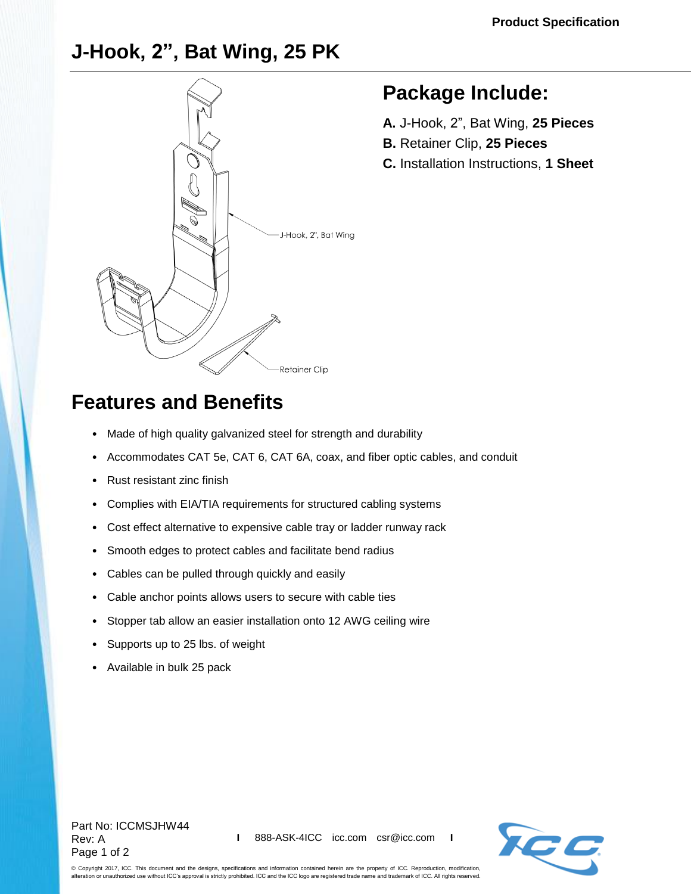### **J-Hook, 2", Bat Wing, 25 PK**



## **Package Include:**

- **A.** J-Hook, 2", Bat Wing, **25 Pieces**
- **B.** Retainer Clip, **25 Pieces**
- **C.** Installation Instructions, **1 Sheet**

# **Features and Benefits**

- Made of high quality galvanized steel for strength and durability
- Accommodates CAT 5e, CAT 6, CAT 6A, coax, and fiber optic cables, and conduit
- Rust resistant zinc finish
- Complies with EIA/TIA requirements for structured cabling systems
- Cost effect alternative to expensive cable tray or ladder runway rack
- Smooth edges to protect cables and facilitate bend radius
- Cables can be pulled through quickly and easily
- Cable anchor points allows users to secure with cable ties
- Stopper tab allow an easier installation onto 12 AWG ceiling wire
- Supports up to 25 lbs. of weight
- Available in bulk 25 pack

#### Part No: ICCMSJHW44 Rev: A Page 1 of 2



© Copyright 2017, ICC. This document and the designs, specifications and information contained herein are the property of ICC. Reproduction, modification, alteration or unauthorized use without ICC's approval is strictly prohibited. ICC and the ICC logo are registered trade name and trademark of ICC. All rights reserved.